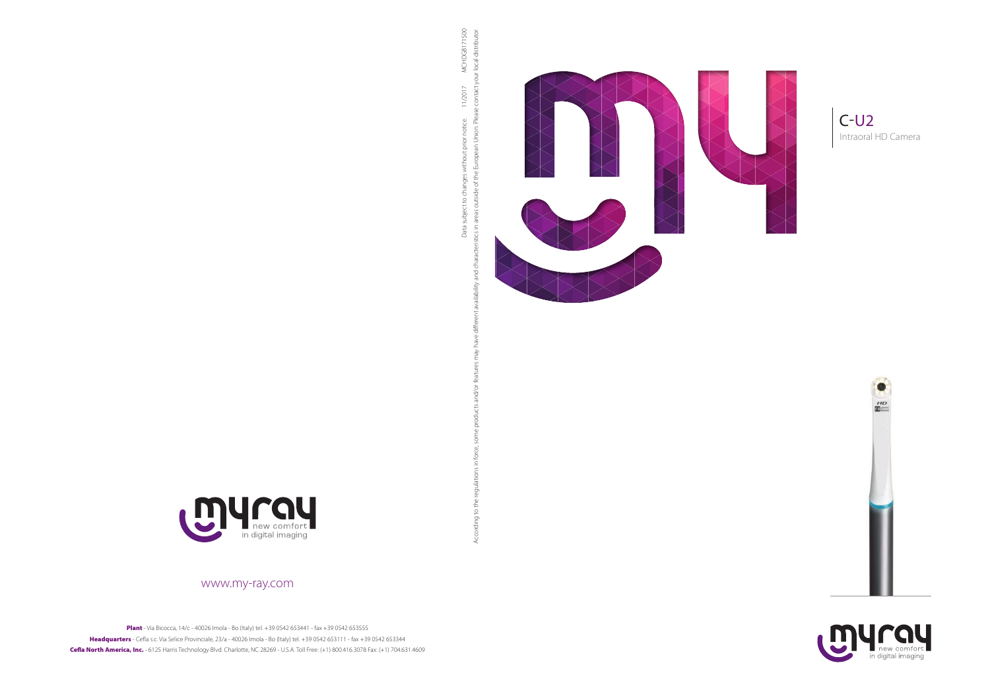### www.my-ray.com

Plant - Via Bicocca, 14/c - 40026 Imola - Bo (Italy) tel. +39 0542 653441 - fax +39 0542 653555 Headquarters - Cefla s.c. Via Selice Provinciale, 23/a - 40026 Imola - Bo (Italy) tel. +39 0542 653111 - fax +39 0542 653344 Cefla North America, Inc. - 6125 Harris Technology Blvd. Charlotte, NC 28269 - U.S.A. Toll Free: (+1) 800.416.3078 Fax: (+1) 704.631.4609













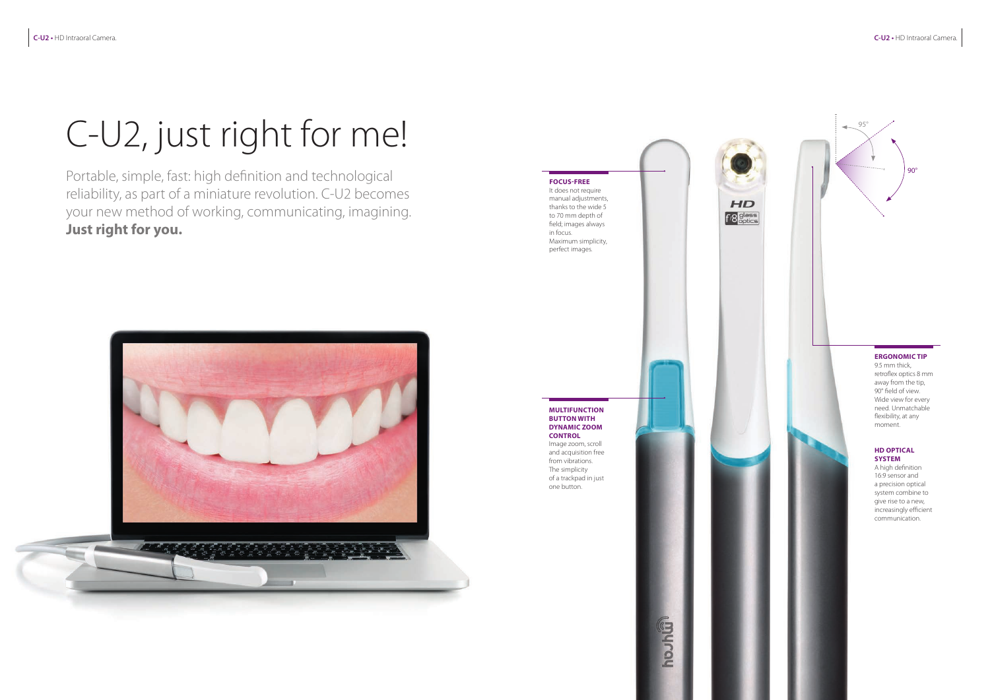## C-U2, just right for me!

Portable, simple, fast: high definition and technological reliability, as part of a miniature revolution. C-U2 becomes your new method of working, communicating, imagining. **Just right for you.**



#### **MULTIFUNCTION BUTTON WITH DYNAMIC ZOOM CONTROL**

#### **FOCUS-FREE**  It does not require

Image zoom, scroll and acquisition free from vibrations. The simplicity of a trackpad in just one button.

**Gindon** 



manual adjustments, thanks to the wide 5 to 70 mm depth of field; images always in focus. Maximum simplicity, perfect images.

# $HD$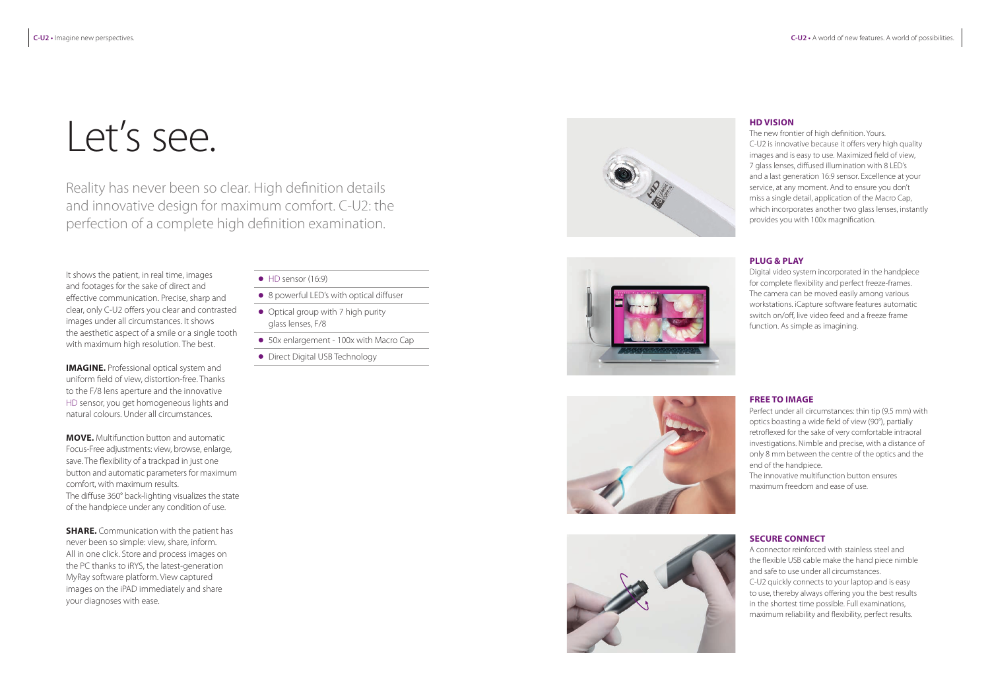# Let's see.

Reality has never been so clear. High definition details and innovative design for maximum comfort. C-U2: the perfection of a complete high definition examination.

**IMAGINE.** Professional optical system and uniform field of view, distortion-free. Thanks to the F/8 lens aperture and the innovative HD sensor, you get homogeneous lights and natural colours. Under all circumstances.

It shows the patient, in real time, images and footages for the sake of direct and effective communication. Precise, sharp and clear, only C-U2 offers you clear and contrasted images under all circumstances. It shows the aesthetic aspect of a smile or a single tooth with maximum high resolution. The best.

**MOVE.** Multifunction button and automatic Focus-Free adjustments: view, browse, enlarge, save. The flexibility of a trackpad in just one button and automatic parameters for maximum comfort, with maximum results. The diffuse 360° back-lighting visualizes the state of the handpiece under any condition of use.

**SHARE.** Communication with the patient has never been so simple: view, share, inform. All in one click. Store and process images on the PC thanks to iRYS, the latest-generation MyRay software platform. View captured images on the iPAD immediately and share your diagnoses with ease.

- $\bullet$  HD sensor (16:9)
- 8 powerful LED's with optical diffuser
- Optical group with 7 high purity glass lenses, F/8
- 50x enlargement 100x with Macro Cap
- **•** Direct Digital USB Technology









### **HD VISION**

The new frontier of high definition. Yours. C-U2 is innovative because it offers very high quality images and is easy to use. Maximized field of view, 7 glass lenses, diffused illumination with 8 LED's and a last generation 16:9 sensor. Excellence at your service, at any moment. And to ensure you don't miss a single detail, application of the Macro Cap, which incorporates another two glass lenses, instantly provides you with 100x magnification.

#### **PLUG & PLAY**

Digital video system incorporated in the handpiece for complete flexibility and perfect freeze-frames. The camera can be moved easily among various workstations. iCapture software features automatic switch on/off, live video feed and a freeze frame function. As simple as imagining.

### **FREE TO IMAGE**

Perfect under all circumstances: thin tip (9.5 mm) with optics boasting a wide field of view (90°), partially retroflexed for the sake of very comfortable intraoral investigations. Nimble and precise, with a distance of only 8 mm between the centre of the optics and the end of the handpiece.

The innovative multifunction button ensures maximum freedom and ease of use.

### **SECURE CONNECT**

A connector reinforced with stainless steel and the flexible USB cable make the hand piece nimble and safe to use under all circumstances.

C-U2 quickly connects to your laptop and is easy to use, thereby always offering you the best results in the shortest time possible. Full examinations, maximum reliability and flexibility, perfect results.